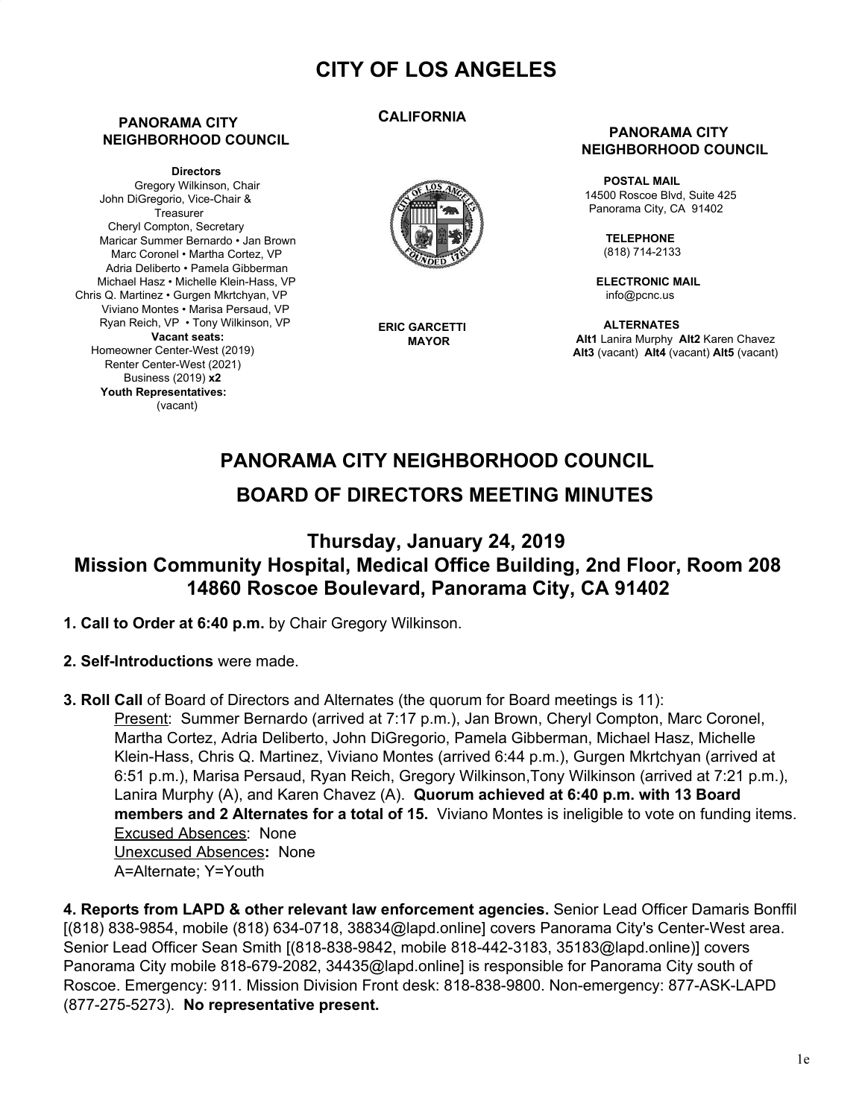# **CITY OF LOS ANGELES**

### **PANORAMA CITY NEIGHBORHOOD COUNCIL**

**Directors** Gregory Wilkinson, Chair John DiGregorio, Vice-Chair & **Treasurer** Cheryl Compton, Secretary Maricar Summer Bernardo • Jan Brown Marc Coronel • Martha Cortez, VP Adria Deliberto • Pamela Gibberman Michael Hasz • Michelle Klein-Hass, VP Chris Q. Martinez • Gurgen Mkrtchyan, VP Viviano Montes • Marisa Persaud, VP Ryan Reich, VP • Tony Wilkinson, VP **Vacant seats:** Homeowner Center-West (2019) Renter Center-West (2021) Business (2019) **x2 Youth Representatives:** (vacant)

### **CALIFORNIA**



**ERIC GARCETTI MAYOR**

### **PANORAMA CITY NEIGHBORHOOD COUNCIL**

**POSTAL MAIL** 14500 Roscoe Blvd, Suite 425 Panorama City, CA 91402

> **TELEPHONE** (818) 714-2133

**ELECTRONIC MAIL** [info@pcnc.us](mailto:info@pcnc.us)

**ALTERNATES Alt1** Lanira Murphy **Alt2** Karen Chavez **Alt3** (vacant) **Alt4** (vacant) **Alt5** (vacant)

# **PANORAMA CITY NEIGHBORHOOD COUNCIL BOARD OF DIRECTORS MEETING MINUTES**

# **Thursday, January 24, 2019 Mission Community Hospital, Medical Office Building, 2nd Floor, Room 208 14860 Roscoe Boulevard, Panorama City, CA 91402**

- **1. Call to Order at 6:40 p.m.** by Chair Gregory Wilkinson.
- **2. Self-Introductions** were made.
- **3. Roll Call** of Board of Directors and Alternates (the quorum for Board meetings is 11): Present: Summer Bernardo (arrived at 7:17 p.m.), Jan Brown, Cheryl Compton, Marc Coronel, Martha Cortez, Adria Deliberto, John DiGregorio, Pamela Gibberman, Michael Hasz, Michelle Klein-Hass, Chris Q. Martinez, Viviano Montes (arrived 6:44 p.m.), Gurgen Mkrtchyan (arrived at 6:51 p.m.), Marisa Persaud, Ryan Reich, Gregory Wilkinson,Tony Wilkinson (arrived at 7:21 p.m.), Lanira Murphy (A), and Karen Chavez (A). **Quorum achieved at 6:40 p.m. with 13 Board members and 2 Alternates for a total of 15.** Viviano Montes is ineligible to vote on funding items. Excused Absences: None Unexcused Absences**:** None A=Alternate; Y=Youth

**4. Reports from LAPD & other relevant law enforcement agencies.** Senior Lead Officer Damaris Bonffil [(818) 838-9854, mobile (818) 634-0718, 38834@lapd.online] covers Panorama City's Center-West area. Senior Lead Officer Sean Smith [(818-838-9842, mobile 818-442-3183, 35183@lapd.online)] covers Panorama City mobile 818-679-2082, 34435@lapd.online] is responsible for Panorama City south of Roscoe. Emergency: 911. Mission Division Front desk: 818-838-9800. Non-emergency: 877-ASK-LAPD (877-275-5273). **No representative present.**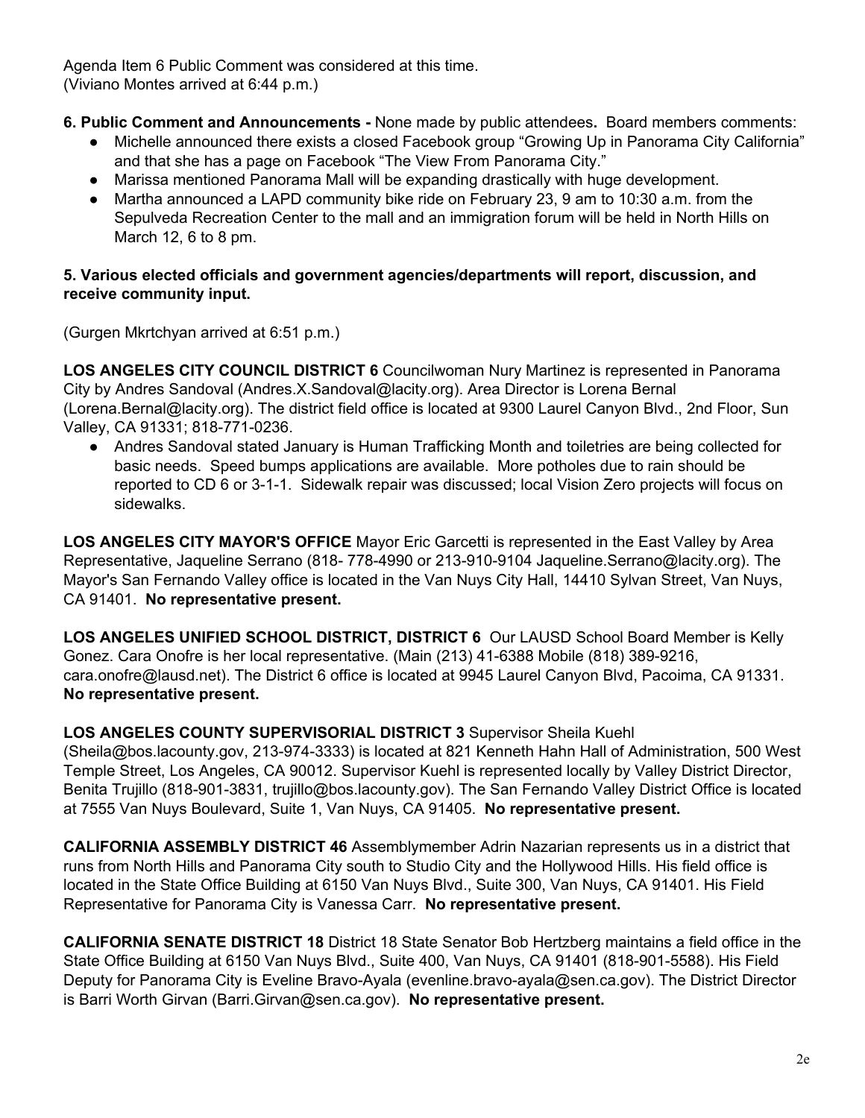Agenda Item 6 Public Comment was considered at this time. (Viviano Montes arrived at 6:44 p.m.)

- **6. Public Comment and Announcements -** None made by public attendees**.** Board members comments:
	- Michelle announced there exists a closed Facebook group "Growing Up in Panorama City California" and that she has a page on Facebook "The View From Panorama City."
	- Marissa mentioned Panorama Mall will be expanding drastically with huge development.
	- Martha announced a LAPD community bike ride on February 23, 9 am to 10:30 a.m. from the Sepulveda Recreation Center to the mall and an immigration forum will be held in North Hills on March 12, 6 to 8 pm.

## **5. Various elected officials and government agencies/departments will report, discussion, and receive community input.**

(Gurgen Mkrtchyan arrived at 6:51 p.m.)

**LOS ANGELES CITY COUNCIL DISTRICT 6** Councilwoman Nury Martinez is represented in Panorama City by Andres Sandoval (Andres.X.Sandoval@lacity.org). Area Director is Lorena Bernal (Lorena.Bernal@lacity.org). The district field office is located at 9300 Laurel Canyon Blvd., 2nd Floor, Sun Valley, CA 91331; 818-771-0236.

● Andres Sandoval stated January is Human Trafficking Month and toiletries are being collected for basic needs. Speed bumps applications are available. More potholes due to rain should be reported to CD 6 or 3-1-1. Sidewalk repair was discussed; local Vision Zero projects will focus on sidewalks.

**LOS ANGELES CITY MAYOR'S OFFICE** Mayor Eric Garcetti is represented in the East Valley by Area Representative, Jaqueline Serrano (818- 778-4990 or 213-910-9104 Jaqueline.Serrano@lacity.org). The Mayor's San Fernando Valley office is located in the Van Nuys City Hall, 14410 Sylvan Street, Van Nuys, CA 91401. **No representative present.**

**LOS ANGELES UNIFIED SCHOOL DISTRICT, DISTRICT 6** Our LAUSD School Board Member is Kelly Gonez. Cara Onofre is her local representative. (Main (213) 41-6388 Mobile (818) 389-9216, cara.onofre@lausd.net). The District 6 office is located at 9945 Laurel Canyon Blvd, Pacoima, CA 91331. **No representative present.**

## **LOS ANGELES COUNTY SUPERVISORIAL DISTRICT 3** Supervisor Sheila Kuehl

(Sheila@bos.lacounty.gov, 213-974-3333) is located at 821 Kenneth Hahn Hall of Administration, 500 West Temple Street, Los Angeles, CA 90012. Supervisor Kuehl is represented locally by Valley District Director, Benita Trujillo (818-901-3831, trujillo@bos.lacounty.gov). The San Fernando Valley District Office is located at 7555 Van Nuys Boulevard, Suite 1, Van Nuys, CA 91405. **No representative present.**

**CALIFORNIA ASSEMBLY DISTRICT 46** Assemblymember Adrin Nazarian represents us in a district that runs from North Hills and Panorama City south to Studio City and the Hollywood Hills. His field office is located in the State Office Building at 6150 Van Nuys Blvd., Suite 300, Van Nuys, CA 91401. His Field Representative for Panorama City is Vanessa Carr. **No representative present.**

**CALIFORNIA SENATE DISTRICT 18** District 18 State Senator Bob Hertzberg maintains a field office in the State Office Building at 6150 Van Nuys Blvd., Suite 400, Van Nuys, CA 91401 (818-901-5588). His Field Deputy for Panorama City is Eveline Bravo-Ayala (evenline.bravo-ayala@sen.ca.gov). The District Director is Barri Worth Girvan (Barri.Girvan@sen.ca.gov). **No representative present.**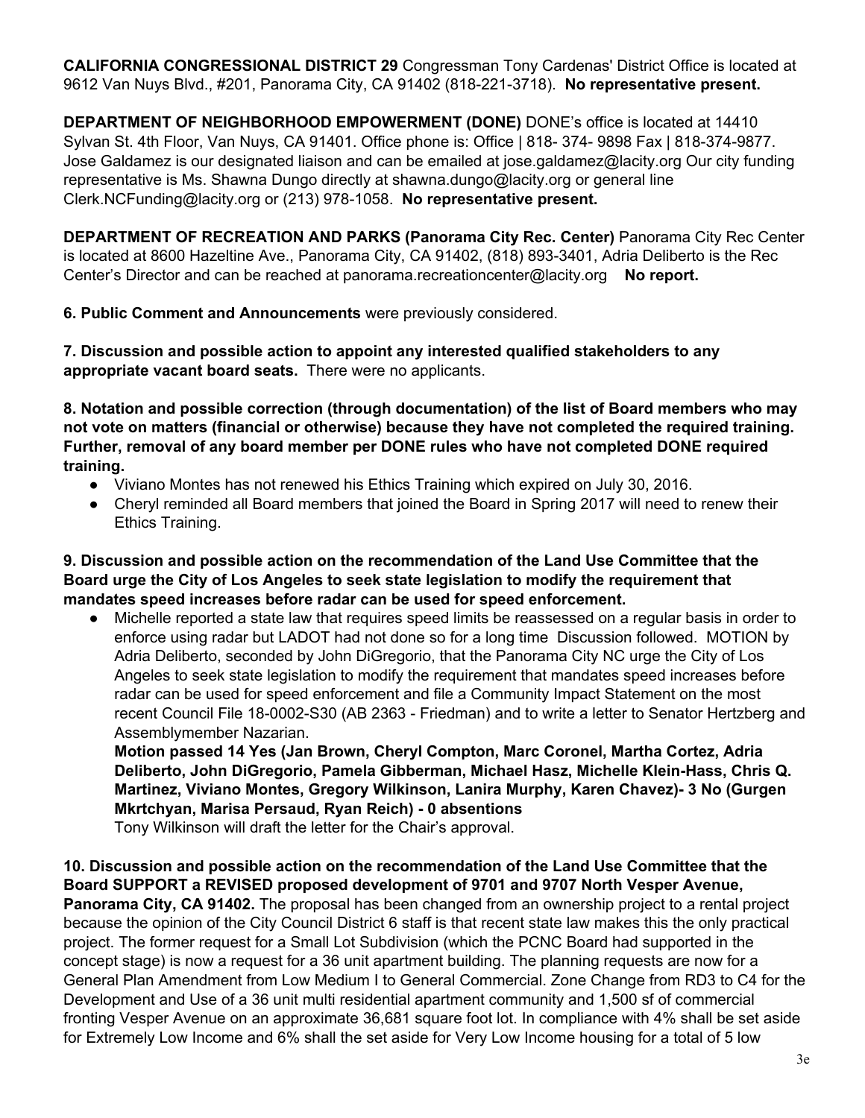**CALIFORNIA CONGRESSIONAL DISTRICT 29** Congressman Tony Cardenas' District Office is located at 9612 Van Nuys Blvd., #201, Panorama City, CA 91402 (818-221-3718). **No representative present.**

**DEPARTMENT OF NEIGHBORHOOD EMPOWERMENT (DONE)** DONE's office is located at 14410 Sylvan St. 4th Floor, Van Nuys, CA 91401. Office phone is: Office | 818- 374- 9898 Fax | 818-374-9877. Jose Galdamez is our designated liaison and can be emailed at jose.galdamez@lacity.org Our city funding representative is Ms. Shawna Dungo directly at shawna.dungo@lacity.org or general line Clerk.NCFunding@lacity.org or (213) 978-1058. **No representative present.**

**DEPARTMENT OF RECREATION AND PARKS (Panorama City Rec. Center)** Panorama City Rec Center is located at 8600 Hazeltine Ave., Panorama City, CA 91402, (818) 893-3401, Adria Deliberto is the Rec Center's Director and can be reached at panorama.recreationcenter@lacity.org **No report.**

**6. Public Comment and Announcements** were previously considered.

**7. Discussion and possible action to appoint any interested qualified stakeholders to any appropriate vacant board seats.** There were no applicants.

**8. Notation and possible correction (through documentation) of the list of Board members who may not vote on matters (financial or otherwise) because they have not completed the required training. Further, removal of any board member per DONE rules who have not completed DONE required training.**

- Viviano Montes has not renewed his Ethics Training which expired on July 30, 2016.
- Cheryl reminded all Board members that joined the Board in Spring 2017 will need to renew their Ethics Training.

**9. Discussion and possible action on the recommendation of the Land Use Committee that the Board urge the City of Los Angeles to seek state legislation to modify the requirement that mandates speed increases before radar can be used for speed enforcement.**

● Michelle reported a state law that requires speed limits be reassessed on a regular basis in order to enforce using radar but LADOT had not done so for a long time Discussion followed. MOTION by Adria Deliberto, seconded by John DiGregorio, that the Panorama City NC urge the City of Los Angeles to seek state legislation to modify the requirement that mandates speed increases before radar can be used for speed enforcement and file a Community Impact Statement on the most recent Council File 18-0002-S30 (AB 2363 - Friedman) and to write a letter to Senator Hertzberg and Assemblymember Nazarian.

**Motion passed 14 Yes (Jan Brown, Cheryl Compton, Marc Coronel, Martha Cortez, Adria Deliberto, John DiGregorio, Pamela Gibberman, Michael Hasz, Michelle Klein-Hass, Chris Q. Martinez, Viviano Montes, Gregory Wilkinson, Lanira Murphy, Karen Chavez)- 3 No (Gurgen Mkrtchyan, Marisa Persaud, Ryan Reich) - 0 absentions**

Tony Wilkinson will draft the letter for the Chair's approval.

**10. Discussion and possible action on the recommendation of the Land Use Committee that the Board SUPPORT a REVISED proposed development of 9701 and 9707 North Vesper Avenue, Panorama City, CA 91402.** The proposal has been changed from an ownership project to a rental project because the opinion of the City Council District 6 staff is that recent state law makes this the only practical project. The former request for a Small Lot Subdivision (which the PCNC Board had supported in the concept stage) is now a request for a 36 unit apartment building. The planning requests are now for a General Plan Amendment from Low Medium I to General Commercial. Zone Change from RD3 to C4 for the Development and Use of a 36 unit multi residential apartment community and 1,500 sf of commercial fronting Vesper Avenue on an approximate 36,681 square foot lot. In compliance with 4% shall be set aside for Extremely Low Income and 6% shall the set aside for Very Low Income housing for a total of 5 low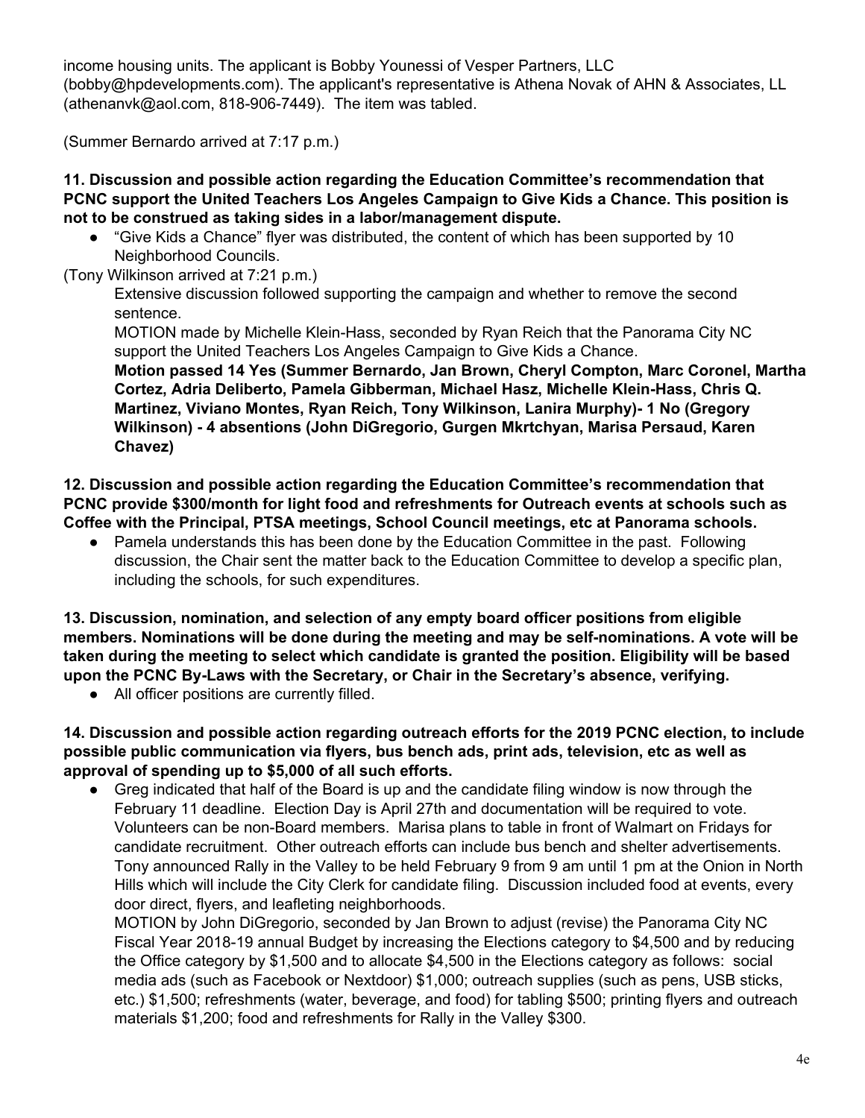income housing units. The applicant is Bobby Younessi of Vesper Partners, LLC (bobby@hpdevelopments.com). The applicant's representative is Athena Novak of AHN & Associates, LL (athenanvk@aol.com, 818-906-7449). The item was tabled.

(Summer Bernardo arrived at 7:17 p.m.)

### **11. Discussion and possible action regarding the Education Committee's recommendation that PCNC support the United Teachers Los Angeles Campaign to Give Kids a Chance. This position is not to be construed as taking sides in a labor/management dispute.**

- **●** "Give Kids a Chance" flyer was distributed, the content of which has been supported by 10 Neighborhood Councils.
- (Tony Wilkinson arrived at 7:21 p.m.)

Extensive discussion followed supporting the campaign and whether to remove the second sentence.

MOTION made by Michelle Klein-Hass, seconded by Ryan Reich that the Panorama City NC support the United Teachers Los Angeles Campaign to Give Kids a Chance.

**Motion passed 14 Yes (Summer Bernardo, Jan Brown, Cheryl Compton, Marc Coronel, Martha Cortez, Adria Deliberto, Pamela Gibberman, Michael Hasz, Michelle Klein-Hass, Chris Q. Martinez, Viviano Montes, Ryan Reich, Tony Wilkinson, Lanira Murphy)- 1 No (Gregory Wilkinson) - 4 absentions (John DiGregorio, Gurgen Mkrtchyan, Marisa Persaud, Karen Chavez)**

**12. Discussion and possible action regarding the Education Committee's recommendation that PCNC provide \$300/month for light food and refreshments for Outreach events at schools such as Coffee with the Principal, PTSA meetings, School Council meetings, etc at Panorama schools.**

**●** Pamela understands this has been done by the Education Committee in the past. Following discussion, the Chair sent the matter back to the Education Committee to develop a specific plan, including the schools, for such expenditures.

**13. Discussion, nomination, and selection of any empty board officer positions from eligible members. Nominations will be done during the meeting and may be self-nominations. A vote will be taken during the meeting to select which candidate is granted the position. Eligibility will be based upon the PCNC By-Laws with the Secretary, or Chair in the Secretary's absence, verifying.**

● All officer positions are currently filled.

**14. Discussion and possible action regarding outreach efforts for the 2019 PCNC election, to include possible public communication via flyers, bus bench ads, print ads, television, etc as well as approval of spending up to \$5,000 of all such efforts.**

Greg indicated that half of the Board is up and the candidate filing window is now through the February 11 deadline. Election Day is April 27th and documentation will be required to vote. Volunteers can be non-Board members. Marisa plans to table in front of Walmart on Fridays for candidate recruitment. Other outreach efforts can include bus bench and shelter advertisements. Tony announced Rally in the Valley to be held February 9 from 9 am until 1 pm at the Onion in North Hills which will include the City Clerk for candidate filing. Discussion included food at events, every door direct, flyers, and leafleting neighborhoods.

MOTION by John DiGregorio, seconded by Jan Brown to adjust (revise) the Panorama City NC Fiscal Year 2018-19 annual Budget by increasing the Elections category to \$4,500 and by reducing the Office category by \$1,500 and to allocate \$4,500 in the Elections category as follows: social media ads (such as Facebook or Nextdoor) \$1,000; outreach supplies (such as pens, USB sticks, etc.) \$1,500; refreshments (water, beverage, and food) for tabling \$500; printing flyers and outreach materials \$1,200; food and refreshments for Rally in the Valley \$300.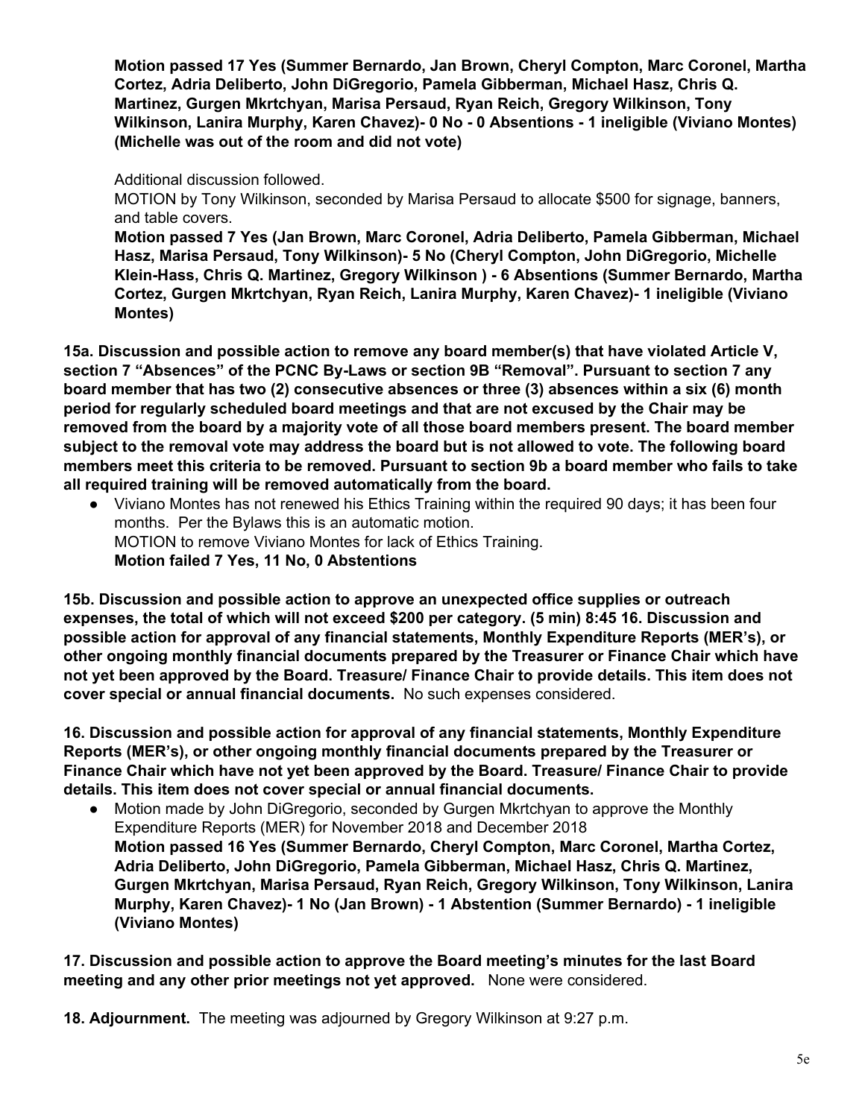**Motion passed 17 Yes (Summer Bernardo, Jan Brown, Cheryl Compton, Marc Coronel, Martha Cortez, Adria Deliberto, John DiGregorio, Pamela Gibberman, Michael Hasz, Chris Q. Martinez, Gurgen Mkrtchyan, Marisa Persaud, Ryan Reich, Gregory Wilkinson, Tony Wilkinson, Lanira Murphy, Karen Chavez)- 0 No - 0 Absentions - 1 ineligible (Viviano Montes) (Michelle was out of the room and did not vote)**

Additional discussion followed.

MOTION by Tony Wilkinson, seconded by Marisa Persaud to allocate \$500 for signage, banners, and table covers.

**Motion passed 7 Yes (Jan Brown, Marc Coronel, Adria Deliberto, Pamela Gibberman, Michael Hasz, Marisa Persaud, Tony Wilkinson)- 5 No (Cheryl Compton, John DiGregorio, Michelle Klein-Hass, Chris Q. Martinez, Gregory Wilkinson ) - 6 Absentions (Summer Bernardo, Martha Cortez, Gurgen Mkrtchyan, Ryan Reich, Lanira Murphy, Karen Chavez)- 1 ineligible (Viviano Montes)**

**15a. Discussion and possible action to remove any board member(s) that have violated Article V, section 7 "Absences" of the PCNC By-Laws or section 9B "Removal". Pursuant to section 7 any board member that has two (2) consecutive absences or three (3) absences within a six (6) month period for regularly scheduled board meetings and that are not excused by the Chair may be removed from the board by a majority vote of all those board members present. The board member subject to the removal vote may address the board but is not allowed to vote. The following board members meet this criteria to be removed. Pursuant to section 9b a board member who fails to take all required training will be removed automatically from the board.**

Viviano Montes has not renewed his Ethics Training within the required 90 days; it has been four months. Per the Bylaws this is an automatic motion. MOTION to remove Viviano Montes for lack of Ethics Training. **Motion failed 7 Yes, 11 No, 0 Abstentions**

**15b. Discussion and possible action to approve an unexpected office supplies or outreach expenses, the total of which will not exceed \$200 per category. (5 min) 8:45 16. Discussion and possible action for approval of any financial statements, Monthly Expenditure Reports (MER's), or other ongoing monthly financial documents prepared by the Treasurer or Finance Chair which have not yet been approved by the Board. Treasure/ Finance Chair to provide details. This item does not cover special or annual financial documents.** No such expenses considered.

**16. Discussion and possible action for approval of any financial statements, Monthly Expenditure Reports (MER's), or other ongoing monthly financial documents prepared by the Treasurer or Finance Chair which have not yet been approved by the Board. Treasure/ Finance Chair to provide details. This item does not cover special or annual financial documents.**

• Motion made by John DiGregorio, seconded by Gurgen Mkrtchyan to approve the Monthly Expenditure Reports (MER) for November 2018 and December 2018 **Motion passed 16 Yes (Summer Bernardo, Cheryl Compton, Marc Coronel, Martha Cortez, Adria Deliberto, John DiGregorio, Pamela Gibberman, Michael Hasz, Chris Q. Martinez, Gurgen Mkrtchyan, Marisa Persaud, Ryan Reich, Gregory Wilkinson, Tony Wilkinson, Lanira Murphy, Karen Chavez)- 1 No (Jan Brown) - 1 Abstention (Summer Bernardo) - 1 ineligible (Viviano Montes)**

**17. Discussion and possible action to approve the Board meeting's minutes for the last Board meeting and any other prior meetings not yet approved.** None were considered.

**18. Adjournment.** The meeting was adjourned by Gregory Wilkinson at 9:27 p.m.